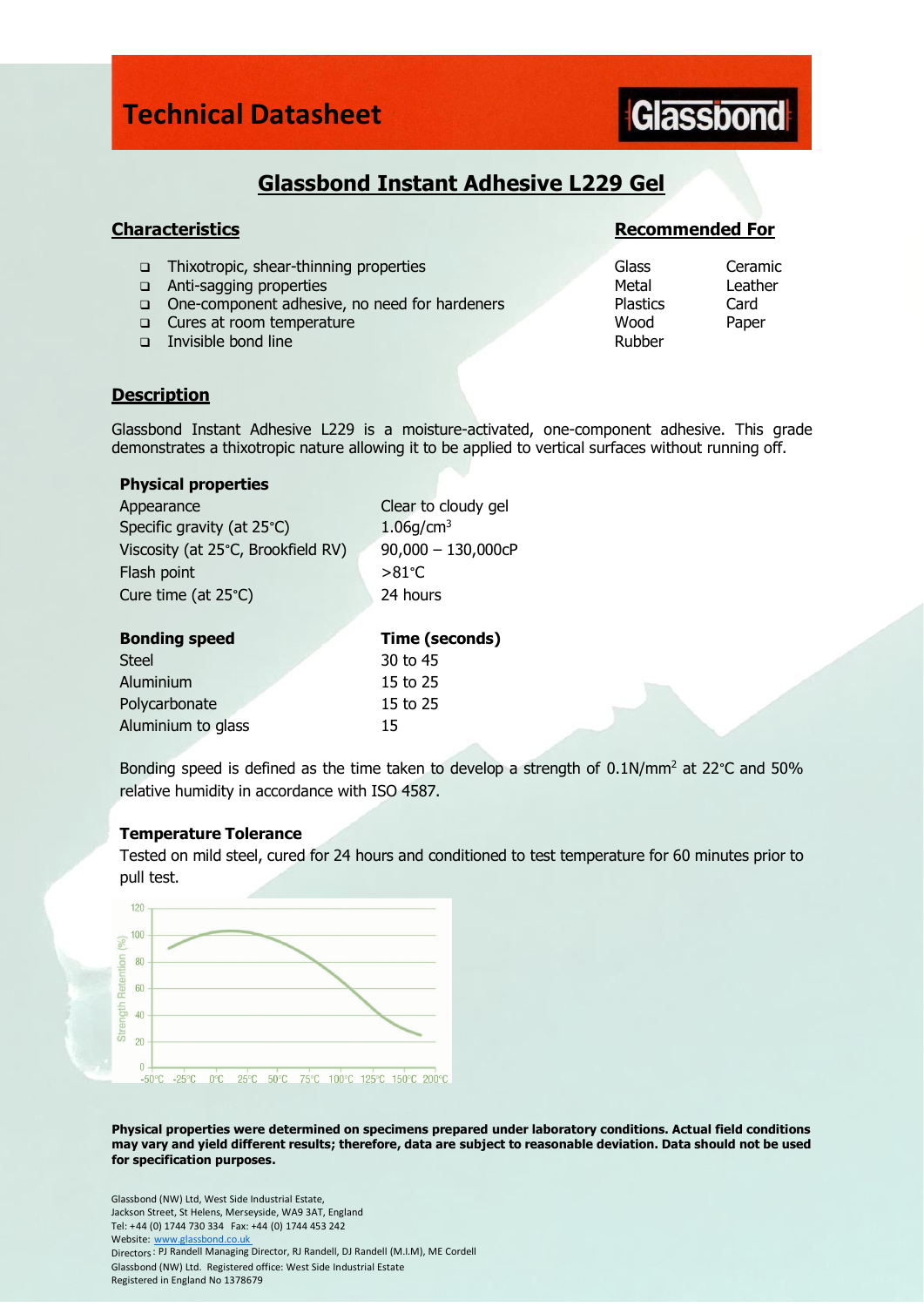### **Technical Datasheet**

# Glassbond

### **Glassbond Instant Adhesive L229 Gel**

- ❑ Thixotropic, shear-thinning properties Glass Ceramic
- ❑ Anti-sagging properties Metal Leather
- ❑ One-component adhesive, no need for hardeners Plastics Card
- ❑ Cures at room temperature Wood Paper
- ❑ Invisible bond line Rubber

### **Characteristics Recommended For**

### **Description**

Glassbond Instant Adhesive L229 is a moisture-activated, one-component adhesive. This grade demonstrates a thixotropic nature allowing it to be applied to vertical surfaces without running off.

### **Physical properties**

Appearance Clear to cloudy gel Specific gravity (at  $25^{\circ}$ C) 1.06g/cm<sup>3</sup> Viscosity (at  $25^{\circ}$ C, Brookfield RV)  $90,000 - 130,000$ cP Flash point  $>81^{\circ}$ C Cure time (at 25°C) 24 hours

| <b>Bonding speed</b> | Time (seconds) |
|----------------------|----------------|
| <b>Steel</b>         | 30 to 45       |
| Aluminium            | 15 to 25       |
| Polycarbonate        | 15 to 25       |
| Aluminium to glass   | 15             |

Bonding speed is defined as the time taken to develop a strength of 0.1N/mm<sup>2</sup> at 22°C and 50% relative humidity in accordance with ISO 4587.

#### **Temperature Tolerance**

Tested on mild steel, cured for 24 hours and conditioned to test temperature for 60 minutes prior to pull test.



**Physical properties were determined on specimens prepared under laboratory conditions. Actual field conditions may vary and yield different results; therefore, data are subject to reasonable deviation. Data should not be used for specification purposes.**

Glassbond (NW) Ltd, West Side Industrial Estate, Jackson Street, St Helens, Merseyside, WA9 3AT, England Tel: +44 (0) 1744 730 334 Fax: +44 (0) 1744 453 242 Website: www.glassbond.co.uk Directors: PJ Randell Managing Director, RJ Randell, DJ Randell (M.I.M), ME Cordell Glassbond (NW) Ltd. Registered office: West Side Industrial Estate Registered in England No 1378679